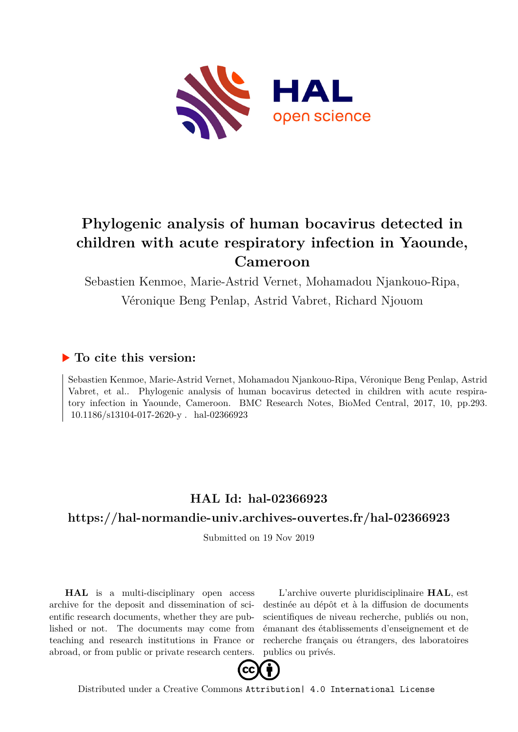

## **Phylogenic analysis of human bocavirus detected in children with acute respiratory infection in Yaounde, Cameroon**

Sebastien Kenmoe, Marie-Astrid Vernet, Mohamadou Njankouo-Ripa, Véronique Beng Penlap, Astrid Vabret, Richard Njouom

## **To cite this version:**

Sebastien Kenmoe, Marie-Astrid Vernet, Mohamadou Njankouo-Ripa, Véronique Beng Penlap, Astrid Vabret, et al.. Phylogenic analysis of human bocavirus detected in children with acute respiratory infection in Yaounde, Cameroon. BMC Research Notes, BioMed Central, 2017, 10, pp.293.  $10.1186/s13104-017-2620-y$ . hal-02366923

## **HAL Id: hal-02366923**

## **<https://hal-normandie-univ.archives-ouvertes.fr/hal-02366923>**

Submitted on 19 Nov 2019

**HAL** is a multi-disciplinary open access archive for the deposit and dissemination of scientific research documents, whether they are published or not. The documents may come from teaching and research institutions in France or abroad, or from public or private research centers.

L'archive ouverte pluridisciplinaire **HAL**, est destinée au dépôt et à la diffusion de documents scientifiques de niveau recherche, publiés ou non, émanant des établissements d'enseignement et de recherche français ou étrangers, des laboratoires publics ou privés.



Distributed under a Creative Commons [Attribution| 4.0 International License](http://creativecommons.org/licenses/by/4.0/)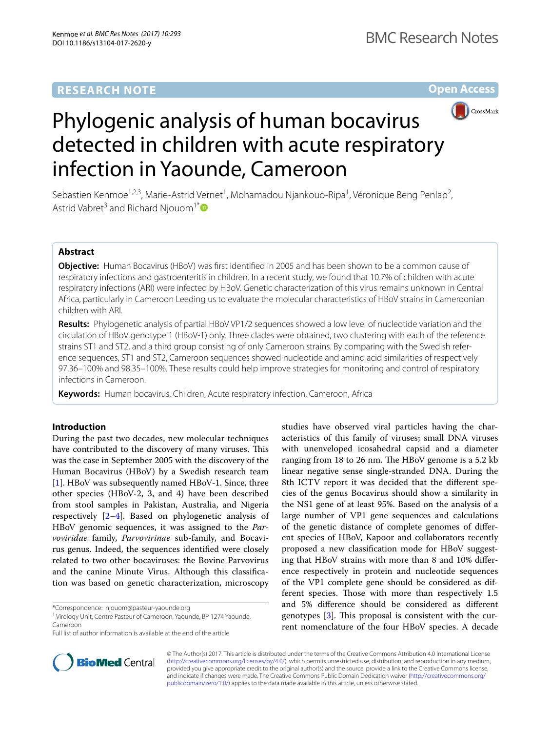### **RESEARCH NOTE**

**Open Access**



# Phylogenic analysis of human bocavirus detected in children with acute respiratory infection in Yaounde, Cameroon

Sebastien Kenmoe<sup>1,2,3</sup>, Marie-Astrid Vernet<sup>1</sup>, Mohamadou Njankouo-Ripa<sup>1</sup>, Véronique Beng Penlap<sup>2</sup>, Astrid Vabret<sup>3</sup> and Richard Njouom<sup>1[\\*](http://orcid.org/0000-0003-3112-6370)</sup>

#### **Abstract**

**Objective:** Human Bocavirus (HBoV) was frst identifed in 2005 and has been shown to be a common cause of respiratory infections and gastroenteritis in children. In a recent study, we found that 10.7% of children with acute respiratory infections (ARI) were infected by HBoV. Genetic characterization of this virus remains unknown in Central Africa, particularly in Cameroon Leeding us to evaluate the molecular characteristics of HBoV strains in Cameroonian children with ARI.

**Results:** Phylogenetic analysis of partial HBoV VP1/2 sequences showed a low level of nucleotide variation and the circulation of HBoV genotype 1 (HBoV-1) only. Three clades were obtained, two clustering with each of the reference strains ST1 and ST2, and a third group consisting of only Cameroon strains. By comparing with the Swedish reference sequences, ST1 and ST2, Cameroon sequences showed nucleotide and amino acid similarities of respectively 97.36–100% and 98.35–100%. These results could help improve strategies for monitoring and control of respiratory infections in Cameroon.

**Keywords:** Human bocavirus, Children, Acute respiratory infection, Cameroon, Africa

#### **Introduction**

During the past two decades, new molecular techniques have contributed to the discovery of many viruses. This was the case in September 2005 with the discovery of the Human Bocavirus (HBoV) by a Swedish research team [1]. HBoV was subsequently named HBoV-1. Since, three other species (HBoV-2, 3, and 4) have been described from stool samples in Pakistan, Australia, and Nigeria respectively [2–4]. Based on phylogenetic analysis of HBoV genomic sequences, it was assigned to the *Parvoviridae* family, *Parvovirinae* sub-family, and Bocavirus genus. Indeed, the sequences identifed were closely related to two other bocaviruses: the Bovine Parvovirus and the canine Minute Virus. Although this classifcation was based on genetic characterization, microscopy

\*Correspondence: njouom@pasteur‑yaounde.org





© The Author(s) 2017. This article is distributed under the terms of the Creative Commons Attribution 4.0 International License [\(http://creativecommons.org/licenses/by/4.0/\)](http://creativecommons.org/licenses/by/4.0/), which permits unrestricted use, distribution, and reproduction in any medium, provided you give appropriate credit to the original author(s) and the source, provide a link to the Creative Commons license, and indicate if changes were made. The Creative Commons Public Domain Dedication waiver ([http://creativecommons.org/](http://creativecommons.org/publicdomain/zero/1.0/) [publicdomain/zero/1.0/](http://creativecommons.org/publicdomain/zero/1.0/)) applies to the data made available in this article, unless otherwise stated.

<sup>&</sup>lt;sup>1</sup> Virology Unit, Centre Pasteur of Cameroon, Yaounde, BP 1274 Yaounde, Cameroon

Full list of author information is available at the end of the article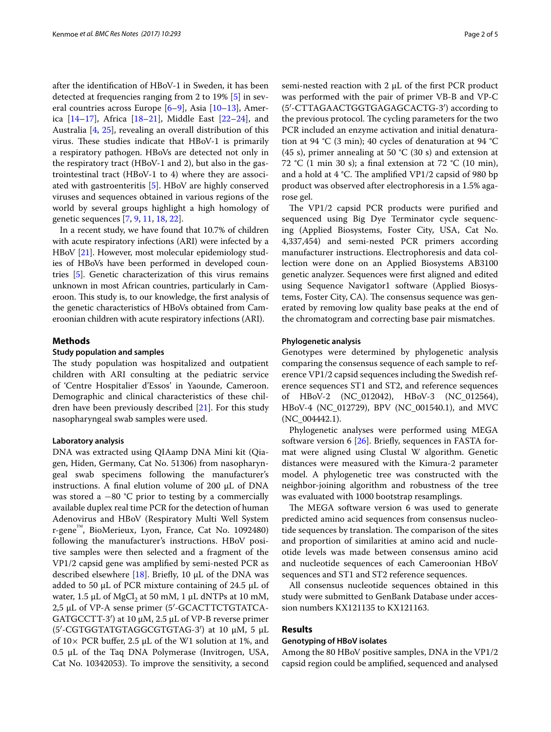after the identifcation of HBoV-1 in Sweden, it has been detected at frequencies ranging from 2 to 19% [5] in several countries across Europe [6–9], Asia [10–13], America [14–17], Africa [18–21], Middle East [22–24], and Australia [4, 25], revealing an overall distribution of this virus. These studies indicate that HBoV-1 is primarily a respiratory pathogen. HBoVs are detected not only in the respiratory tract (HBoV-1 and 2), but also in the gastrointestinal tract (HBoV-1 to 4) where they are associated with gastroenteritis [5]. HBoV are highly conserved viruses and sequences obtained in various regions of the world by several groups highlight a high homology of genetic sequences [7, 9, 11, 18, 22].

In a recent study, we have found that 10.7% of children with acute respiratory infections (ARI) were infected by a HBoV [21]. However, most molecular epidemiology studies of HBoVs have been performed in developed countries [5]. Genetic characterization of this virus remains unknown in most African countries, particularly in Cameroon. This study is, to our knowledge, the first analysis of the genetic characteristics of HBoVs obtained from Cameroonian children with acute respiratory infections (ARI).

#### **Methods**

#### **Study population and samples**

The study population was hospitalized and outpatient children with ARI consulting at the pediatric service of 'Centre Hospitalier d'Essos' in Yaounde, Cameroon. Demographic and clinical characteristics of these children have been previously described [21]. For this study nasopharyngeal swab samples were used.

#### **Laboratory analysis**

DNA was extracted using QIAamp DNA Mini kit (Qiagen, Hiden, Germany, Cat No. 51306) from nasopharyngeal swab specimens following the manufacturer's instructions. A final elution volume of 200  $\mu$ L of DNA was stored a  $-80$  °C prior to testing by a commercially available duplex real time PCR for the detection of human Adenovirus and HBoV (Respiratory Multi Well System r-gene™, BioMerieux, Lyon, France, Cat No. 1092480) following the manufacturer's instructions. HBoV positive samples were then selected and a fragment of the VP1/2 capsid gene was amplifed by semi-nested PCR as described elsewhere [18]. Briefly, 10  $\mu$ L of the DNA was added to 50  $\mu$ L of PCR mixture containing of 24.5  $\mu$ L of water,  $1.5 \mu L$  of MgCl<sub>2</sub> at 50 mM, 1  $\mu L$  dNTPs at 10 mM, 2,5 µL of VP-A sense primer (5′-GCACTTCTGTATCA-GATGCCTT-3′) at 10 µM, 2.5 µL of VP-B reverse primer (5′-CGTGGTATGTAGGCGTGTAG-3′) at 10 µM, 5 µL of  $10\times$  PCR buffer, 2.5 µL of the W1 solution at 1%, and  $0.5$   $\mu$ L of the Taq DNA Polymerase (Invitrogen, USA, Cat No. 10342053). To improve the sensitivity, a second semi-nested reaction with 2 µL of the first PCR product was performed with the pair of primer VB-B and VP-C (5′-CTTAGAACTGGTGAGAGCACTG-3′) according to the previous protocol. The cycling parameters for the two PCR included an enzyme activation and initial denaturation at 94 °C (3 min); 40 cycles of denaturation at 94 °C (45 s), primer annealing at 50 °C (30 s) and extension at 72 °C (1 min 30 s); a final extension at 72 °C (10 min), and a hold at  $4 \text{ }^{\circ}$ C. The amplified VP1/2 capsid of 980 bp product was observed after electrophoresis in a 1.5% agarose gel.

The VP1/2 capsid PCR products were purified and sequenced using Big Dye Terminator cycle sequencing (Applied Biosystems, Foster City, USA, Cat No. 4,337,454) and semi-nested PCR primers according manufacturer instructions. Electrophoresis and data collection were done on an Applied Biosystems AB3100 genetic analyzer. Sequences were frst aligned and edited using Sequence Navigator1 software (Applied Biosystems, Foster City, CA). The consensus sequence was generated by removing low quality base peaks at the end of the chromatogram and correcting base pair mismatches.

#### **Phylogenetic analysis**

Genotypes were determined by phylogenetic analysis comparing the consensus sequence of each sample to reference VP1/2 capsid sequences including the Swedish reference sequences ST1 and ST2, and reference sequences of HBoV-2 (NC\_012042), HBoV-3 (NC\_012564), HBoV-4 (NC\_012729), BPV (NC\_001540.1), and MVC (NC\_004442.1).

Phylogenetic analyses were performed using MEGA software version 6  $[26]$ . Briefly, sequences in FASTA format were aligned using Clustal W algorithm. Genetic distances were measured with the Kimura-2 parameter model. A phylogenetic tree was constructed with the neighbor-joining algorithm and robustness of the tree was evaluated with 1000 bootstrap resamplings.

The MEGA software version 6 was used to generate predicted amino acid sequences from consensus nucleotide sequences by translation. The comparison of the sites and proportion of similarities at amino acid and nucleotide levels was made between consensus amino acid and nucleotide sequences of each Cameroonian HBoV sequences and ST1 and ST2 reference sequences.

All consensus nucleotide sequences obtained in this study were submitted to GenBank Database under accession numbers KX121135 to KX121163.

#### **Results**

#### **Genotyping of HBoV isolates**

Among the 80 HBoV positive samples, DNA in the VP1/2 capsid region could be amplifed, sequenced and analysed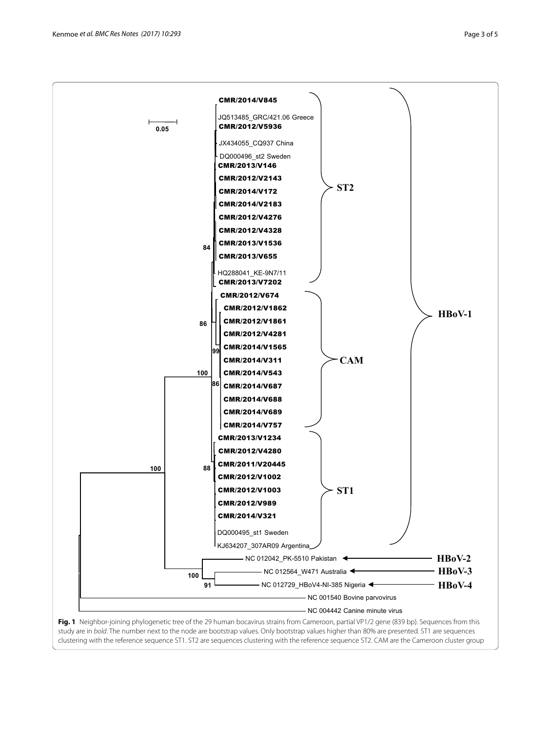

**Fig. 1** Neighbor-joining phylogenetic tree of the 29 human bocavirus strains from Cameroon, partial VP1/2 gene (839 bp). Sequences from this study are in *bold*. The number next to the node are bootstrap values. Only bootstrap values higher than 80% are presented. ST1 are sequences clustering with the reference sequence ST1. ST2 are sequences clustering with the reference sequence ST2. CAM are the Cameroon cluster group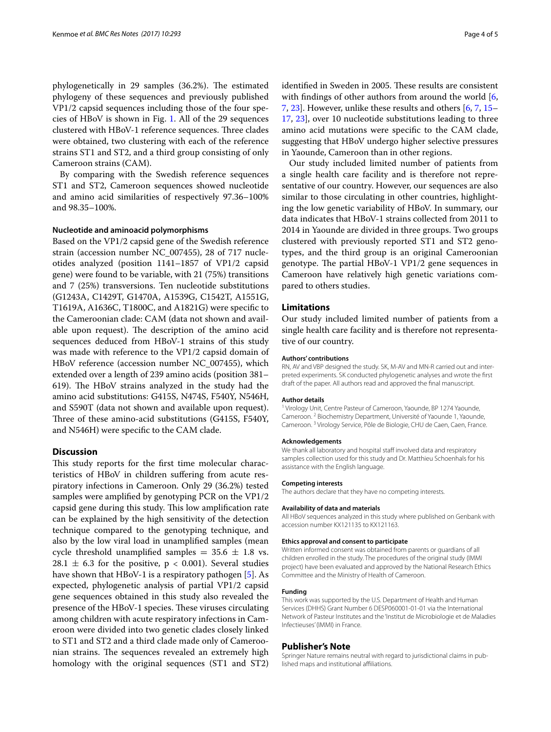phylogenetically in 29 samples (36.2%). The estimated phylogeny of these sequences and previously published VP1/2 capsid sequences including those of the four species of HBoV is shown in Fig. 1. All of the 29 sequences clustered with HBoV-1 reference sequences. Three clades were obtained, two clustering with each of the reference strains ST1 and ST2, and a third group consisting of only Cameroon strains (CAM).

By comparing with the Swedish reference sequences ST1 and ST2, Cameroon sequences showed nucleotide and amino acid similarities of respectively 97.36–100% and 98.35–100%.

#### **Nucleotide and aminoacid polymorphisms**

Based on the VP1/2 capsid gene of the Swedish reference strain (accession number NC\_007455), 28 of 717 nucleotides analyzed (position 1141–1857 of VP1/2 capsid gene) were found to be variable, with 21 (75%) transitions and 7 (25%) transversions. Ten nucleotide substitutions (G1243A, C1429T, G1470A, A1539G, C1542T, A1551G, T1619A, A1636C, T1800C, and A1821G) were specifc to the Cameroonian clade: CAM (data not shown and available upon request). The description of the amino acid sequences deduced from HBoV-1 strains of this study was made with reference to the VP1/2 capsid domain of HBoV reference (accession number NC\_007455), which extended over a length of 239 amino acids (position 381– 619). The HBoV strains analyzed in the study had the amino acid substitutions: G415S, N474S, F540Y, N546H, and S590T (data not shown and available upon request). Three of these amino-acid substitutions (G415S, F540Y, and N546H) were specifc to the CAM clade.

#### **Discussion**

This study reports for the first time molecular characteristics of HBoV in children sufering from acute respiratory infections in Cameroon. Only 29 (36.2%) tested samples were amplifed by genotyping PCR on the VP1/2 capsid gene during this study. This low amplification rate can be explained by the high sensitivity of the detection technique compared to the genotyping technique, and also by the low viral load in unamplifed samples (mean cycle threshold unamplified samples =  $35.6 \pm 1.8$  vs.  $28.1 \pm 6.3$  for the positive, p < 0.001). Several studies have shown that HBoV-1 is a respiratory pathogen [5]. As expected, phylogenetic analysis of partial VP1/2 capsid gene sequences obtained in this study also revealed the presence of the HBoV-1 species. These viruses circulating among children with acute respiratory infections in Cameroon were divided into two genetic clades closely linked to ST1 and ST2 and a third clade made only of Cameroonian strains. The sequences revealed an extremely high homology with the original sequences (ST1 and ST2) identified in Sweden in 2005. These results are consistent with findings of other authors from around the world [6, 7, 23]. However, unlike these results and others [6, 7, 15– 17, 23], over 10 nucleotide substitutions leading to three amino acid mutations were specifc to the CAM clade, suggesting that HBoV undergo higher selective pressures in Yaounde, Cameroon than in other regions.

Our study included limited number of patients from a single health care facility and is therefore not representative of our country. However, our sequences are also similar to those circulating in other countries, highlighting the low genetic variability of HBoV. In summary, our data indicates that HBoV-1 strains collected from 2011 to 2014 in Yaounde are divided in three groups. Two groups clustered with previously reported ST1 and ST2 genotypes, and the third group is an original Cameroonian genotype. The partial HBoV-1 VP1/2 gene sequences in Cameroon have relatively high genetic variations compared to others studies.

#### **Limitations**

Our study included limited number of patients from a single health care facility and is therefore not representative of our country.

#### **Authors' contributions**

RN, AV and VBP designed the study. SK, M-AV and MN-R carried out and interpreted experiments. SK conducted phylogenetic analyses and wrote the frst draft of the paper. All authors read and approved the fnal manuscript.

#### **Author details**

<sup>1</sup> Virology Unit, Centre Pasteur of Cameroon, Yaounde, BP 1274 Yaounde, Cameroon.<sup>2</sup> Biochemistry Department, Université of Yaounde 1, Yaounde, Cameroon. 3 Virology Service, Pôle de Biologie, CHU de Caen, Caen, France.

#### **Acknowledgements**

We thank all laboratory and hospital staff involved data and respiratory samples collection used for this study and Dr. Matthieu Schoenhals for his assistance with the English language.

#### **Competing interests**

The authors declare that they have no competing interests.

#### **Availability of data and materials**

All HBoV sequences analyzed in this study where published on Genbank with accession number KX121135 to KX121163.

#### **Ethics approval and consent to participate**

Written informed consent was obtained from parents or guardians of all children enrolled in the study. The procedures of the original study (IMMI project) have been evaluated and approved by the National Research Ethics Committee and the Ministry of Health of Cameroon.

#### **Funding**

This work was supported by the U.S. Department of Health and Human Services (DHHS) Grant Number 6 DESP060001-01-01 via the International Network of Pasteur Institutes and the 'Institut de Microbiologie et de Maladies Infectieuses' (IMMI) in France.

#### **Publisher's Note**

Springer Nature remains neutral with regard to jurisdictional claims in published maps and institutional afliations.